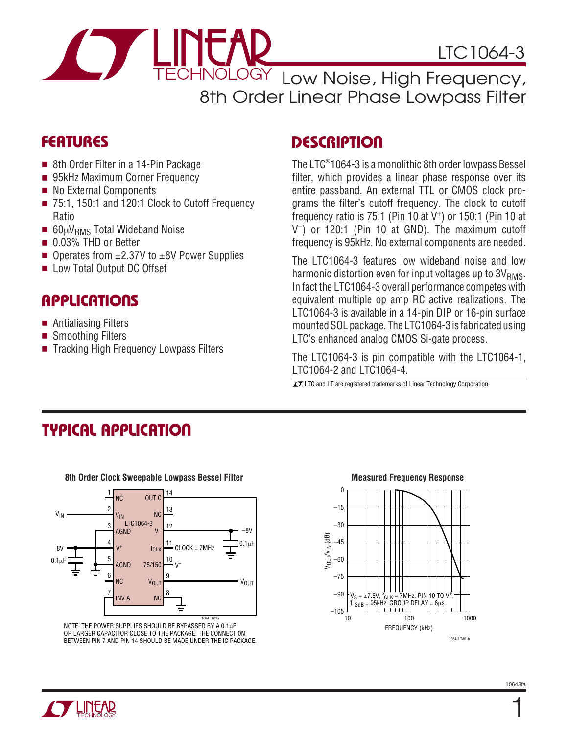

ECHNOLOGY Low Noise, High Frequency, 8th Order Linear Phase Lowpass Filter

### **FEATURES**

- 8th Order Filter in a 14-Pin Package
- 95kHz Maximum Corner Frequency
- No External Components
- 75:1, 150:1 and 120:1 Clock to Cutoff Frequency Ratio
- 60µV<sub>RMS</sub> Total Wideband Noise
- 0.03% THD or Better
- Operates from  $\pm 2.37V$  to  $\pm 8V$  Power Supplies
- Low Total Output DC Offset

# **APPLICATIONS**

- Antialiasing Filters
- Smoothing Filters
- Tracking High Frequency Lowpass Filters

### **DESCRIPTION**

The LTC® 1064-3 is a monolithic 8th order lowpass Bessel filter, which provides a linear phase response over its entire passband. An external TTL or CMOS clock programs the filter's cutoff frequency. The clock to cutoff frequency ratio is  $75:1$  (Pin 10 at V<sup>+</sup>) or 150:1 (Pin 10 at V–) or 120:1 (Pin 10 at GND). The maximum cutoff frequency is 95kHz. No external components are needed.

The LTC1064-3 features low wideband noise and low harmonic distortion even for input voltages up to  $3V<sub>RMS</sub>$ . In fact the LTC1064-3 overall performance competes with equivalent multiple op amp RC active realizations. The LTC1064-3 is available in a 14-pin DIP or 16-pin surface mounted SOL package. The LTC1064-3 is fabricated using LTC's enhanced analog CMOS Si-gate process.

The LTC1064-3 is pin compatible with the LTC1064-1, LTC1064-2 and LTC1064-4.

 $\overline{\mathcal{I}}$ , LTC and LT are registered trademarks of Linear Technology Corporation.

# **TYPICAL APPLICATION**



NOTE: THE POWER SUPPLIES SHOULD BE BYPASSED BY A 0.1µF OR LARGER CAPACITOR CLOSE TO THE PACKAGE. THE CONNECTI0N BETWEEN PIN 7 AND PIN 14 SHOULD BE MADE UNDER THE IC PACKAGE.

### 8th Order Clock Sweepable Lowpass Bessel Filter **Measured Frequency Response**



1064-3 TA01b



1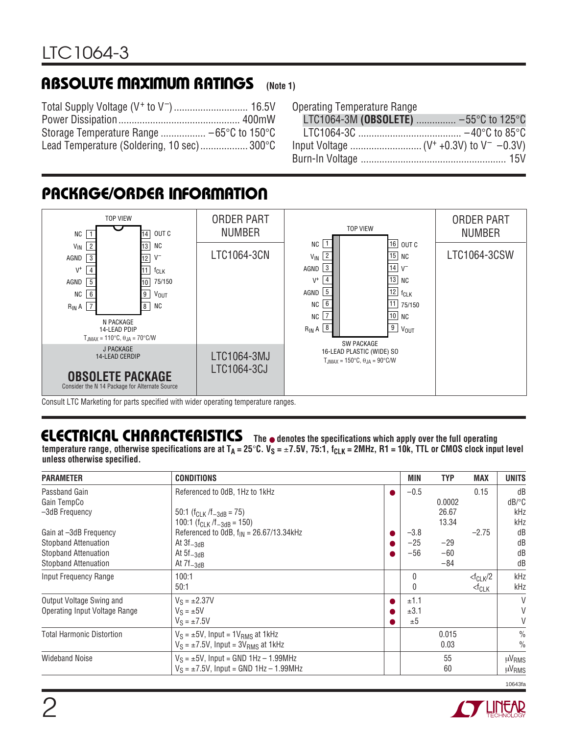#### **(Note 1) ABSOLUTE MAXIMUM RATINGS**

| Lead Temperature (Soldering, 10 sec) 300°C |  |
|--------------------------------------------|--|

|  | <b>Operating Temperature Range</b> |  |
|--|------------------------------------|--|
|--|------------------------------------|--|

| LTC1064-3M (OBSOLETE)  -55°C to 125°C |  |
|---------------------------------------|--|
|                                       |  |
|                                       |  |
|                                       |  |

### **PACKAGE/ORDER INFORMATION**



Consult LTC Marketing for parts specified with wider operating temperature ranges.

### **ELECTRICAL CHARACTERISTICS** The  $\bullet$  denotes the specifications which apply over the full operating

temperature range, otherwise specifications are at  $T_A = 25^\circ \text{C}$ .  $V_S = \pm 7.5V$ , 75:1,  $f_{CLK} = 2MHz$ , R1 = 10k, TTL or CMOS clock input level **unless otherwise specified.**

| <b>PARAMETER</b>                     | <b>CONDITIONS</b>                                    |           | MIN    | <b>TYP</b> | <b>MAX</b>              | <b>UNITS</b>                         |
|--------------------------------------|------------------------------------------------------|-----------|--------|------------|-------------------------|--------------------------------------|
| Passband Gain                        | Referenced to OdB, 1Hz to 1kHz                       | $\bullet$ | $-0.5$ |            | 0.15                    | dB                                   |
| Gain TempCo                          |                                                      |           |        | 0.0002     |                         | $dB$ <sup><math>\circ</math></sup> C |
| -3dB Frequency                       | 50:1 ( $f_{CLK}$ / $f_{-3dB}$ = 75)                  |           |        | 26.67      |                         | kHz                                  |
|                                      | 100:1 ( $f_{CLK}/f_{-3dB} = 150$ )                   |           |        | 13.34      |                         | kHz                                  |
| Gain at -3dB Frequency               | Referenced to OdB, $f_{IN} = 26.67/13.34$ kHz        |           | $-3.8$ |            | $-2.75$                 | dB                                   |
| <b>Stopband Attenuation</b>          | At $3f_{-3dB}$                                       |           | $-25$  | $-29$      |                         | dB                                   |
| Stopband Attenuation                 | At $5f_{-3dB}$                                       | ●         | $-56$  | $-60$      |                         | dB                                   |
| <b>Stopband Attenuation</b>          | At $7f_{-3dB}$                                       |           |        | $-84$      |                         | dB                                   |
| Input Frequency Range                | 100:1                                                |           | 0      |            | $<$ f <sub>CLK</sub> /2 | kHz                                  |
|                                      | 50:1                                                 |           | 0      |            | $<$ f $CLK$             | kHz                                  |
| Output Voltage Swing and             | $V_S = \pm 2.37V$                                    | $\bullet$ | ±1.1   |            |                         | V                                    |
| <b>Operating Input Voltage Range</b> | $V_S = \pm 5V$                                       | ●         | ±3.1   |            |                         | V                                    |
|                                      | $V_S = \pm 7.5V$                                     |           | ±5     |            |                         | V                                    |
| <b>Total Harmonic Distortion</b>     | $V_S = \pm 5V$ , Input = 1 $V_{RMS}$ at 1kHz         |           |        | 0.015      |                         | $\frac{0}{0}$                        |
|                                      | $V_S = \pm 7.5V$ , Input = 3V <sub>RMS</sub> at 1kHz |           |        | 0.03       |                         | $\frac{0}{0}$                        |
| <b>Wideband Noise</b>                | $V_S = \pm 5V$ , Input = GND 1Hz - 1.99MHz           |           |        | 55         |                         | $\mu$ V <sub>RMS</sub>               |
|                                      | $V_S = \pm 7.5V$ , Input = GND 1Hz - 1.99MHz         |           |        | 60         |                         | µV <sub>RMS</sub>                    |

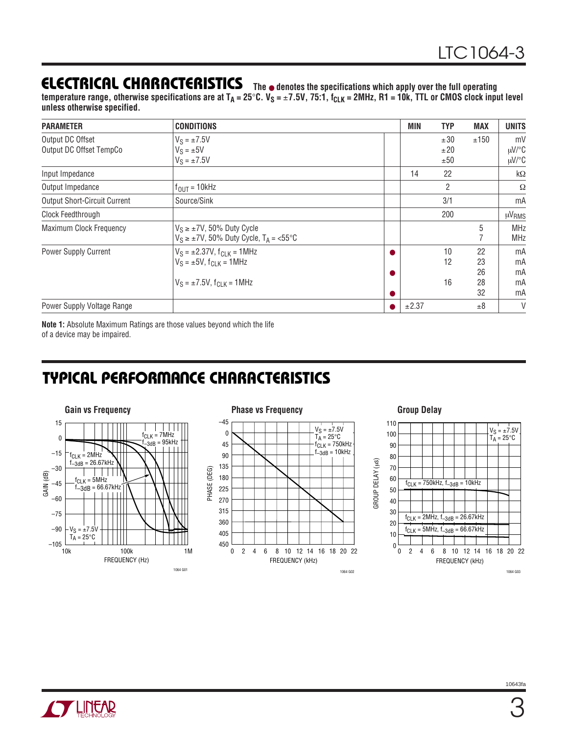### **ELECTRICAL CHARACTERISTICS**

**The** ● **denotes the specifications which apply over the full operating** temperature range, otherwise specifications are at T<sub>A</sub> = 25°C. V<sub>S</sub> = ±7.5V, 75:1, f<sub>CLK</sub> = 2MHz, R1 = 10k, TTL or CMOS clock input level **unless otherwise specified.**

| <b>PARAMETER</b>                            | <b>CONDITIONS</b>                                                                                                 |        | MIN   | <b>TYP</b>        | <b>MAX</b>                 | <b>UNITS</b>               |
|---------------------------------------------|-------------------------------------------------------------------------------------------------------------------|--------|-------|-------------------|----------------------------|----------------------------|
| Output DC Offset<br>Output DC Offset TempCo | $V_S = \pm 7.5V$<br>$V_S = \pm 5V$<br>$V_S = \pm 7.5V$                                                            |        |       | ±30<br>±20<br>±50 | ±150                       | mV<br>µV/°C<br>$\mu$ V/°C  |
| Input Impedance                             |                                                                                                                   |        | 14    | 22                |                            | $k\Omega$                  |
| Output Impedance                            | $f_{OUT} = 10kHz$                                                                                                 |        |       | $\overline{2}$    |                            | Ω                          |
| <b>Output Short-Circuit Current</b>         | Source/Sink                                                                                                       |        |       | 3/1               |                            | mA                         |
| Clock Feedthrough                           |                                                                                                                   |        |       | 200               |                            | µV <sub>RMS</sub>          |
| Maximum Clock Frequency                     | $V_S \ge \pm 7V$ , 50% Duty Cycle<br>$V_S \ge \pm 7V$ , 50% Duty Cycle, $T_A = \angle 55^{\circ}C$                |        |       |                   | 5                          | <b>MHz</b><br><b>MHz</b>   |
| Power Supply Current                        | $V_S = \pm 2.37V$ , $f_{CLK} = 1MHz$<br>$V_S = \pm 5V$ , $f_{CIK} = 1MHz$<br>$V_S = \pm 7.5V$ , $f_{CJK} = 1 MHz$ | ●<br>0 |       | 10<br>12<br>16    | 22<br>23<br>26<br>28<br>32 | mA<br>mA<br>mA<br>mA<br>mA |
| Power Supply Voltage Range                  |                                                                                                                   |        | ±2.37 |                   | ±8                         | V                          |

**Note 1:** Absolute Maximum Ratings are those values beyond which the life of a device may be impaired.

### **TYPICAL PERFORMANCE CHARACTERISTICS**





GROUP DELAY (µs)

GROUP DELAY (us)

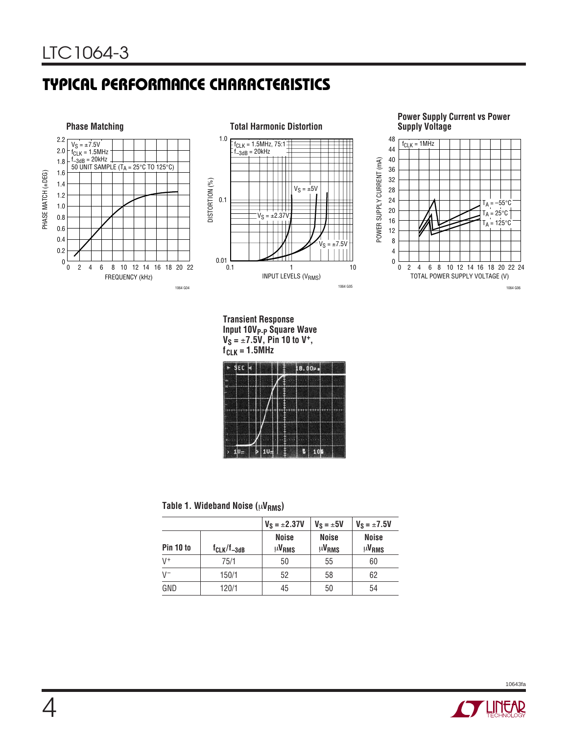# **TYPICAL PERFORMANCE CHARACTERISTICS**





#### **Power Supply Current vs Power Supply Voltage**



**Transient Response Input 10VP-P Square Wave VS =** ±**7.5V, Pin 10 to V+, fCLK = 1.5MHz**

|   | $+$ SEC $+$ |  |  |  |   | 18.00Ps |  |
|---|-------------|--|--|--|---|---------|--|
| × |             |  |  |  |   |         |  |
|   |             |  |  |  |   |         |  |
|   |             |  |  |  |   |         |  |
|   |             |  |  |  |   |         |  |
|   |             |  |  |  |   |         |  |
|   | U.          |  |  |  | g | 10階     |  |

#### Table 1. Wideband Noise ( $\mu$ V<sub>RMS</sub>)

|           |                    | $V_S = \pm 2.37V$            | $V_S = \pm 5V$               | $V_S = \pm 7.5V$             |
|-----------|--------------------|------------------------------|------------------------------|------------------------------|
| Pin 10 to | $f_{CLK}/f_{-3dB}$ | <b>Noise</b><br><b>µVRMS</b> | <b>Noise</b><br><b>µVRMS</b> | <b>Noise</b><br><b>µVRMS</b> |
| $V^+$     | 75/1               | 50                           | 55                           | 60                           |
| $V^-$     | 150/1              | 52                           | 58                           | 62                           |
| GND       | 120/1              | 45                           | 50                           | 54                           |

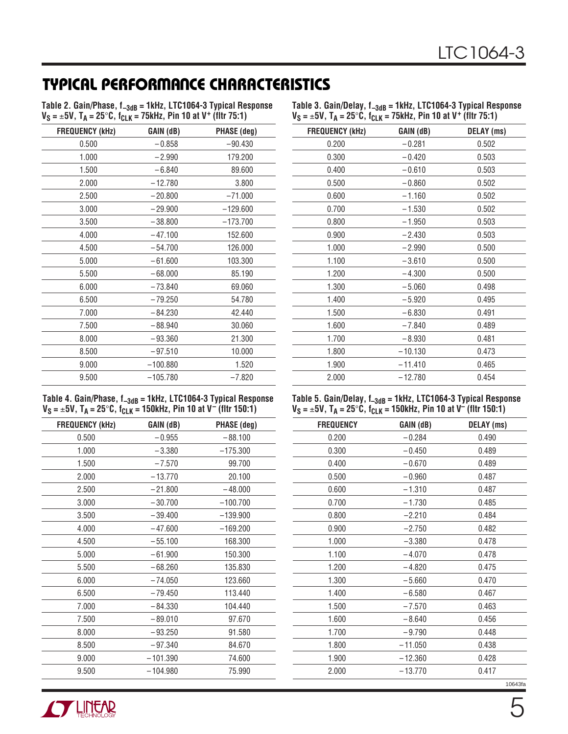# **TYPICAL PERFORMANCE CHARACTERISTICS**

| Table 2. Gain/Phase, f <sub>-3dB</sub> = 1kHz, LTC1064-3 Typical Response                              |  |
|--------------------------------------------------------------------------------------------------------|--|
| $V_S = \pm 5V$ , T <sub>A</sub> = 25°C, f <sub>CLK</sub> = 75kHz, Pin 10 at V <sup>+</sup> (fltr 75:1) |  |

| Table 3. Gain/Delay, $f_{-3dB}$ = 1kHz, LTC1064-3 Typical Response                                     |
|--------------------------------------------------------------------------------------------------------|
| $V_S = \pm 5V$ , T <sub>A</sub> = 25°C, f <sub>CLK</sub> = 75kHz, Pin 10 at V <sup>+</sup> (fltr 75:1) |

| <b>FREQUENCY (kHz)</b> | GAIN (dB)  | <b>PHASE (deg)</b> |
|------------------------|------------|--------------------|
| 0.500                  | $-0.858$   | $-90.430$          |
| 1.000                  | $-2.990$   | 179.200            |
| 1.500                  | $-6.840$   | 89.600             |
| 2.000                  | $-12.780$  | 3.800              |
| 2.500                  | $-20.800$  | $-71.000$          |
| 3.000                  | $-29.900$  | $-129.600$         |
| 3.500                  | $-38.800$  | $-173.700$         |
| 4.000                  | $-47.100$  | 152.600            |
| 4.500                  | $-54.700$  | 126.000            |
| 5.000                  | $-61.600$  | 103.300            |
| 5.500                  | $-68.000$  | 85.190             |
| 6.000                  | $-73.840$  | 69.060             |
| 6.500                  | $-79.250$  | 54.780             |
| 7.000                  | $-84.230$  | 42.440             |
| 7.500                  | $-88.940$  | 30.060             |
| 8.000                  | $-93.360$  | 21.300             |
| 8.500                  | $-97.510$  | 10.000             |
| 9.000                  | $-100.880$ | 1.520              |
| 9.500                  | $-105.780$ | $-7.820$           |

| Table 4. Gain/Phase, $f_{-3dB}$ = 1kHz, LTC1064-3 Typical Response                                       |  |
|----------------------------------------------------------------------------------------------------------|--|
| $V_S = \pm 5V$ , T <sub>A</sub> = 25°C, f <sub>CLK</sub> = 150kHz, Pin 10 at V <sup>-</sup> (fltr 150:1) |  |

| <b>FREQUENCY (kHz)</b> | GAIN (dB)  | <b>PHASE (deg)</b> |
|------------------------|------------|--------------------|
| 0.500                  | $-0.955$   | $-88.100$          |
| 1.000                  | $-3.380$   | $-175.300$         |
| 1.500                  | $-7.570$   | 99.700             |
| 2.000                  | $-13.770$  | 20.100             |
| 2.500                  | $-21.800$  | $-48.000$          |
| 3.000                  | $-30.700$  | $-100.700$         |
| 3.500                  | $-39.400$  | $-139.900$         |
| 4.000                  | $-47.600$  | $-169.200$         |
| 4.500                  | $-55.100$  | 168.300            |
| 5.000                  | $-61.900$  | 150.300            |
| 5.500                  | $-68.260$  | 135.830            |
| 6.000                  | $-74.050$  | 123.660            |
| 6.500                  | $-79.450$  | 113.440            |
| 7.000                  | $-84.330$  | 104.440            |
| 7.500                  | $-89.010$  | 97.670             |
| 8.000                  | $-93.250$  | 91.580             |
| 8.500                  | $-97.340$  | 84.670             |
| 9.000                  | $-101.390$ | 74.600             |
| 9.500                  | $-104.980$ | 75.990             |
|                        |            |                    |

| <b>FREQUENCY (kHz)</b> | GAIN (dB) | <b>DELAY</b> (ms) |
|------------------------|-----------|-------------------|
| 0.200                  | $-0.281$  | 0.502             |
| 0.300                  | $-0.420$  | 0.503             |
| 0.400                  | $-0.610$  | 0.503             |
| 0.500                  | $-0.860$  | 0.502             |
| 0.600                  | $-1.160$  | 0.502             |
| 0.700                  | $-1.530$  | 0.502             |
| 0.800                  | $-1.950$  | 0.503             |
| 0.900                  | $-2.430$  | 0.503             |
| 1.000                  | $-2.990$  | 0.500             |
| 1.100                  | $-3.610$  | 0.500             |
| 1.200                  | $-4.300$  | 0.500             |
| 1.300                  | $-5.060$  | 0.498             |
| 1.400                  | $-5.920$  | 0.495             |
| 1.500                  | $-6.830$  | 0.491             |
| 1.600                  | $-7.840$  | 0.489             |
| 1.700                  | $-8.930$  | 0.481             |
| 1.800                  | $-10.130$ | 0.473             |
| 1.900                  | $-11.410$ | 0.465             |
| 2.000                  | $-12.780$ | 0.454             |

#### **Table 5. Gain/Delay, f–3dB = 1kHz, LTC1064-3 Typical Response VS =** ±**5V, TA = 25**°**C, fCLK = 150kHz, Pin 10 at V– (fltr 150:1)**

| <b>FREQUENCY</b> | GAIN (dB) | DELAY (ms) |         |
|------------------|-----------|------------|---------|
| 0.200            | $-0.284$  | 0.490      |         |
| 0.300            | $-0.450$  | 0.489      |         |
| 0.400            | $-0.670$  | 0.489      |         |
| 0.500            | $-0.960$  | 0.487      |         |
| 0.600            | $-1.310$  | 0.487      |         |
| 0.700            | $-1.730$  | 0.485      |         |
| 0.800            | $-2.210$  | 0.484      |         |
| 0.900            | $-2.750$  | 0.482      |         |
| 1.000            | $-3.380$  | 0.478      |         |
| 1.100            | $-4.070$  | 0.478      |         |
| 1.200            | $-4.820$  | 0.475      |         |
| 1.300            | $-5.660$  | 0.470      |         |
| 1.400            | $-6.580$  | 0.467      |         |
| 1.500            | $-7.570$  | 0.463      |         |
| 1.600            | $-8.640$  | 0.456      |         |
| 1.700            | $-9.790$  | 0.448      |         |
| 1.800            | $-11.050$ | 0.438      |         |
| 1.900            | $-12.360$ | 0.428      |         |
| 2.000            | $-13.770$ | 0.417      |         |
|                  |           |            | 10643fa |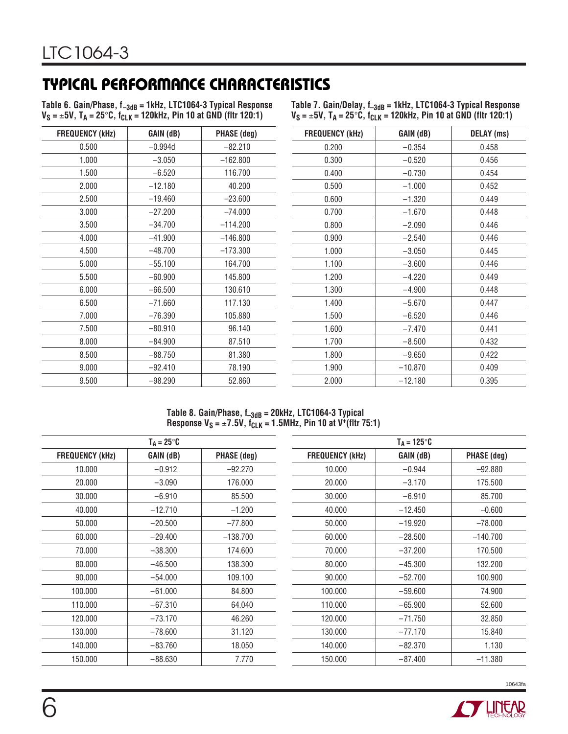# **TYPICAL PERFORMANCE CHARACTERISTICS**

Table 6. Gain/Phase, f<sub>–3dB</sub> = 1kHz, LTC1064-3 Typical Response **VS =** ±**5V, TA = 25**°**C, fCLK = 120kHz, Pin 10 at GND (fltr 120:1)**

**Table 7. Gain/Delay, f–3dB = 1kHz, LTC1064-3 Typical Response VS =** ±**5V, TA = 25**°**C, fCLK = 120kHz, Pin 10 at GND (fltr 120:1)**

| <b>FREQUENCY (kHz)</b> | GAIN (dB) | PHASE (deg) | <b>FREQUENCY (kHz)</b> | GAIN (dB) | <b>DELAY</b> (ms) |
|------------------------|-----------|-------------|------------------------|-----------|-------------------|
| 0.500                  | $-0.994d$ | $-82.210$   | 0.200                  | $-0.354$  | 0.458             |
| 1.000                  | $-3.050$  | $-162.800$  | 0.300                  | $-0.520$  | 0.456             |
| 1.500                  | $-6.520$  | 116.700     | 0.400                  | $-0.730$  | 0.454             |
| 2.000                  | $-12.180$ | 40.200      | 0.500                  | $-1.000$  | 0.452             |
| 2.500                  | $-19.460$ | $-23.600$   | 0.600                  | $-1.320$  | 0.449             |
| 3.000                  | $-27.200$ | $-74.000$   | 0.700                  | $-1.670$  | 0.448             |
| 3.500                  | $-34.700$ | $-114.200$  | 0.800                  | $-2.090$  | 0.446             |
| 4.000                  | $-41.900$ | $-146.800$  | 0.900                  | $-2.540$  | 0.446             |
| 4.500                  | $-48.700$ | $-173.300$  | 1.000                  | $-3.050$  | 0.445             |
| 5.000                  | $-55.100$ | 164.700     | 1.100                  | $-3.600$  | 0.446             |
| 5.500                  | $-60.900$ | 145.800     | 1.200                  | $-4.220$  | 0.449             |
| 6.000                  | $-66.500$ | 130.610     | 1.300                  | $-4.900$  | 0.448             |
| 6.500                  | $-71.660$ | 117.130     | 1.400                  | $-5.670$  | 0.447             |
| 7.000                  | $-76.390$ | 105.880     | 1.500                  | $-6.520$  | 0.446             |
| 7.500                  | $-80.910$ | 96.140      | 1.600                  | $-7.470$  | 0.441             |
| 8.000                  | $-84.900$ | 87.510      | 1.700                  | $-8.500$  | 0.432             |
| 8.500                  | $-88.750$ | 81.380      | 1.800                  | $-9.650$  | 0.422             |
| 9.000                  | $-92.410$ | 78.190      | 1.900                  | $-10.870$ | 0.409             |
| 9.500                  | $-98.290$ | 52.860      | 2.000                  | $-12.180$ | 0.395             |
|                        |           |             |                        |           |                   |

#### **Table 8. Gain/Phase, f–3dB = 20kHz, LTC1064-3 Typical Response**  $V_S = \pm 7.5V$ **, f<sub>CLK</sub> = 1.5MHz, Pin 10 at V<sup>+</sup>(fltr 75:1)**

|                        | $T_A = 25^{\circ}C$ |                    |                        | $T_A = 125^{\circ}C$ |                    |
|------------------------|---------------------|--------------------|------------------------|----------------------|--------------------|
| <b>FREQUENCY (kHz)</b> | GAIN (dB)           | <b>PHASE</b> (deg) | <b>FREQUENCY (kHz)</b> | GAIN (dB)            | <b>PHASE (deg)</b> |
| 10.000                 | $-0.912$            | $-92.270$          | 10.000                 | $-0.944$             | $-92.880$          |
| 20,000                 | $-3.090$            | 176.000            | 20,000                 | $-3.170$             | 175.500            |
| 30.000                 | $-6.910$            | 85.500             | 30.000                 | $-6.910$             | 85.700             |
| 40.000                 | $-12.710$           | $-1.200$           | 40.000                 | $-12.450$            | $-0.600$           |
| 50.000                 | $-20.500$           | $-77.800$          | 50.000                 | $-19.920$            | $-78.000$          |
| 60.000                 | $-29.400$           | $-138.700$         | 60.000                 | $-28.500$            | $-140.700$         |
| 70.000                 | $-38.300$           | 174.600            | 70.000                 | $-37.200$            | 170.500            |
| 80.000                 | $-46.500$           | 138.300            | 80.000                 | $-45.300$            | 132.200            |
| 90.000                 | $-54.000$           | 109.100            | 90.000                 | $-52.700$            | 100.900            |
| 100.000                | $-61.000$           | 84.800             | 100.000                | $-59.600$            | 74.900             |
| 110.000                | $-67.310$           | 64.040             | 110.000                | $-65.900$            | 52.600             |
| 120,000                | $-73.170$           | 46.260             | 120,000                | $-71.750$            | 32.850             |
| 130.000                | $-78.600$           | 31.120             | 130.000                | $-77.170$            | 15.840             |
| 140.000                | $-83.760$           | 18.050             | 140.000                | $-82.370$            | 1.130              |
| 150.000                | $-88.630$           | 7.770              | 150,000                | $-87.400$            | $-11.380$          |



10643fa

 $\mathcal{L}_{\mathcal{A}}$  $\overline{\phantom{0}}$ 

 $\overline{\phantom{a}}$ 

 $\overline{\phantom{0}}$  $\overline{\phantom{0}}$ 

 $\overline{\phantom{a}}$  $\overline{\phantom{a}}$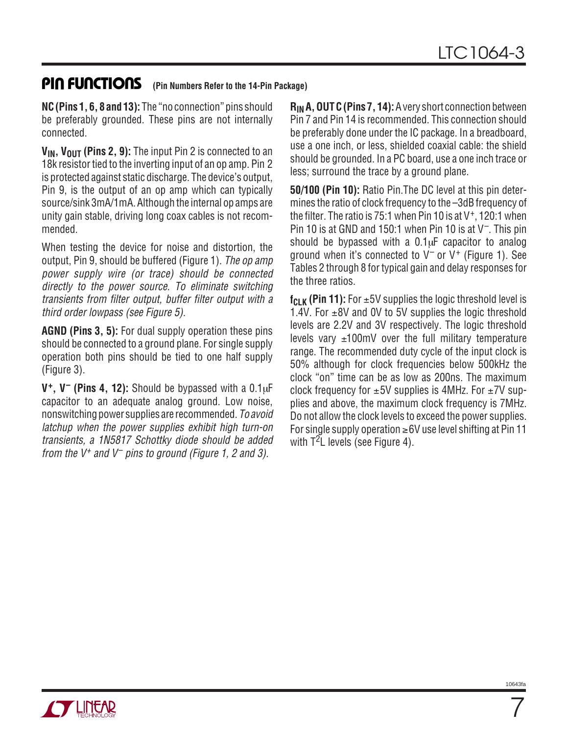### **PIN FUNCTIONS** (Pin Numbers Refer to the 14-Pin Package)

**NC (Pins 1, 6, 8 and 13):** The "no connection" pins should be preferably grounded. These pins are not internally connected.

**V<sub>IN</sub>, V<sub>OUT</sub>** (Pins 2, 9): The input Pin 2 is connected to an 18k resistor tied to the inverting input of an op amp. Pin 2 is protected against static discharge. The device's output, Pin 9, is the output of an op amp which can typically source/sink 3mA/1mA. Although the internal op amps are unity gain stable, driving long coax cables is not recommended.

When testing the device for noise and distortion, the output, Pin 9, should be buffered (Figure 1). The op amp power supply wire (or trace) should be connected directly to the power source. To eliminate switching transients from filter output, buffer filter output with a third order lowpass (see Figure 5).

**AGND (Pins 3, 5):** For dual supply operation these pins should be connected to a ground plane. For single supply operation both pins should be tied to one half supply (Figure 3).

**V+, V– (Pins 4, 12):** Should be bypassed with a 0.1µF capacitor to an adequate analog ground. Low noise, nonswitching power supplies are recommended. To avoid latchup when the power supplies exhibit high turn-on transients, a 1N5817 Schottky diode should be added from the  $V^+$  and  $V^-$  pins to ground (Figure 1, 2 and 3).

**RIN A, OUT C (Pins 7, 14):**A very short connection between Pin 7 and Pin 14 is recommended. This connection should be preferably done under the IC package. In a breadboard, use a one inch, or less, shielded coaxial cable: the shield should be grounded. In a PC board, use a one inch trace or less; surround the trace by a ground plane.

**50/100 (Pin 10):** Ratio Pin.The DC level at this pin determines the ratio of clock frequency to the –3dB frequency of the filter. The ratio is 75:1 when Pin 10 is at  $V^+$ , 120:1 when Pin 10 is at GND and 150:1 when Pin 10 is at  $V^-$ . This pin should be bypassed with a  $0.1\mu$ F capacitor to analog ground when it's connected to  $V^-$  or  $V^+$  (Figure 1). See Tables 2 through 8 for typical gain and delay responses for the three ratios.

 $f_{\text{CI K}}$  (Pin 11): For  $\pm 5V$  supplies the logic threshold level is 1.4V. For  $\pm$ 8V and 0V to 5V supplies the logic threshold levels are 2.2V and 3V respectively. The logic threshold levels vary  $\pm 100$ mV over the full military temperature range. The recommended duty cycle of the input clock is 50% although for clock frequencies below 500kHz the clock "on" time can be as low as 200ns. The maximum clock frequency for  $\pm 5V$  supplies is 4MHz. For  $\pm 7V$  supplies and above, the maximum clock frequency is 7MHz. Do not allow the clock levels to exceed the power supplies. For single supply operation ≥6V use level shifting at Pin 11 with  $T^2$ L levels (see Figure 4).



10643f

7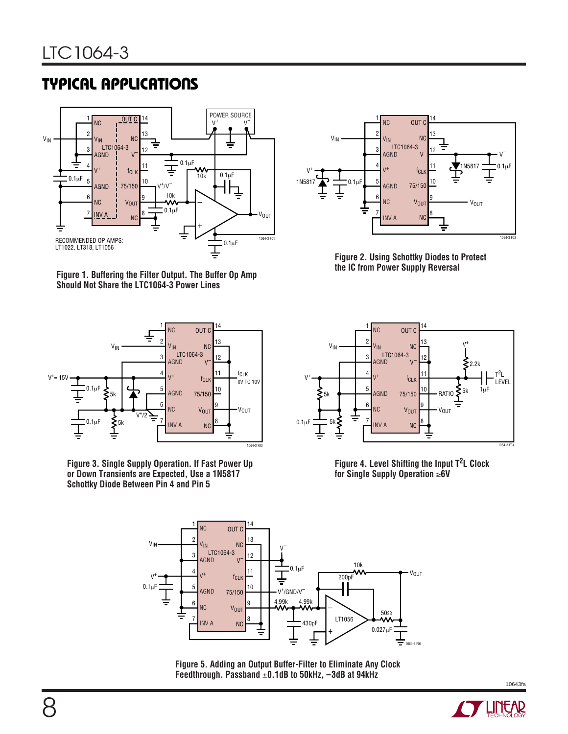# **TYPICAL APPLICATIONS**



**Figure 1. Buffering the Filter Output. The Buffer Op Amp Should Not Share the LTC1064-3 Power Lines**



**Figure 3. Single Supply Operation. If Fast Power Up or Down Transients are Expected, Use a 1N5817 Schottky Diode Between Pin 4 and Pin 5**



**Figure 2. Using Schottky Diodes to Protect the IC from Power Supply Reversal**



**Figure 4. Level Shifting the Input T2L Clock for Single Supply Operation** ≥**6V**



**Figure 5. Adding an Output Buffer-Filter to Eliminate Any Clock Feedthrough. Passband** ±**0.1dB to 50kHz, –3dB at 94kHz**

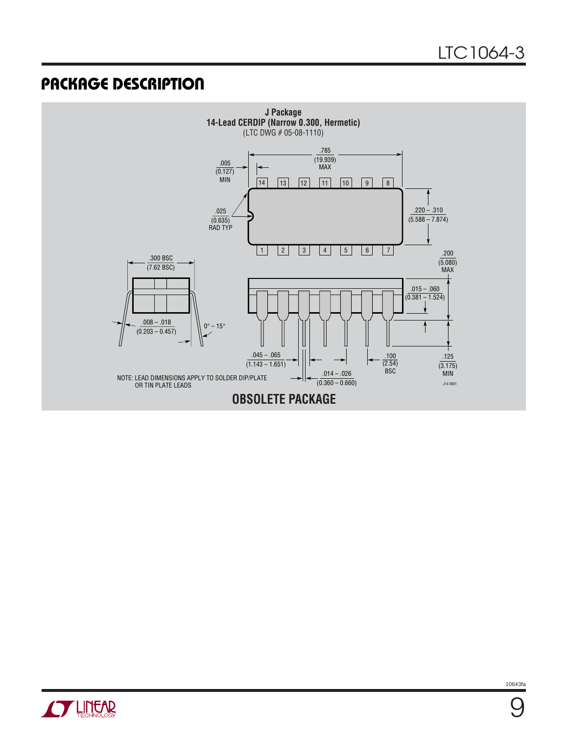### **U PACKAGE DESCRIPTIO**





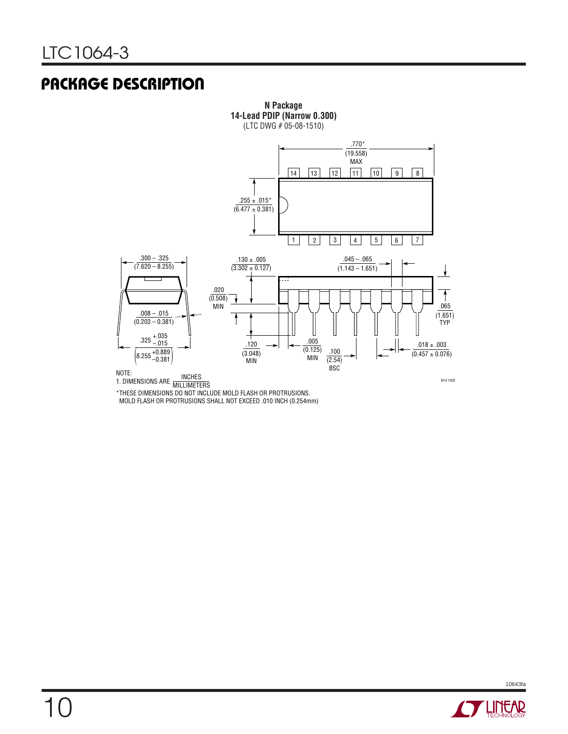### **U PACKAGE DESCRIPTIO**



\*THESE DIMENSIONS DO NOT INCLUDE MOLD FLASH OR PROTRUSIONS. MOLD FLASH OR PROTRUSIONS SHALL NOT EXCEED .010 INCH (0.254mm)

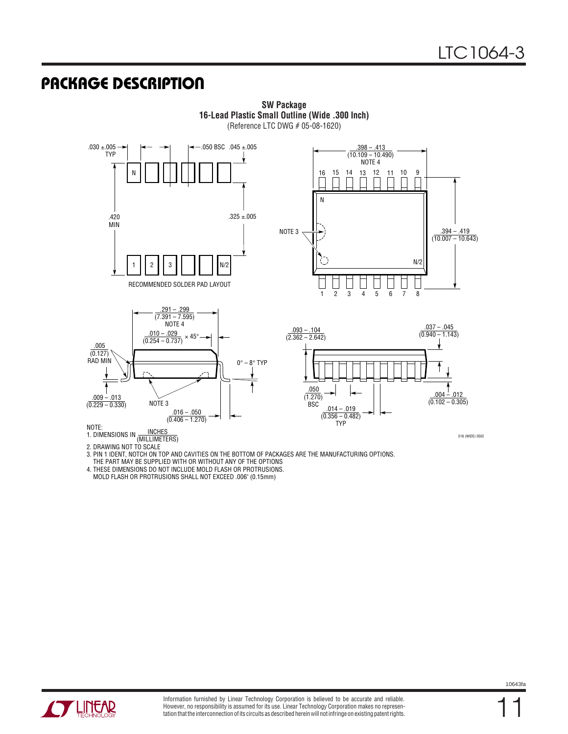### **U PACKAGE DESCRIPTIO**



**SW Package 16-Lead Plastic Small Outline (Wide .300 Inch)** (Reference LTC DWG # 05-08-1620)

1. DIMENSIONS IN **(MILLIMETERS)** 

2. DRAWING NOT TO SCALE

3. PIN 1 IDENT, NOTCH ON TOP AND CAVITIES ON THE BOTTOM OF PACKAGES ARE THE MANUFACTURING OPTIONS.

THE PART MAY BE SUPPLIED WITH OR WITHOUT ANY OF THE OPTIONS

4. THESE DIMENSIONS DO NOT INCLUDE MOLD FLASH OR PROTRUSIONS.

MOLD FLASH OR PROTRUSIONS SHALL NOT EXCEED .006" (0.15mm)



11